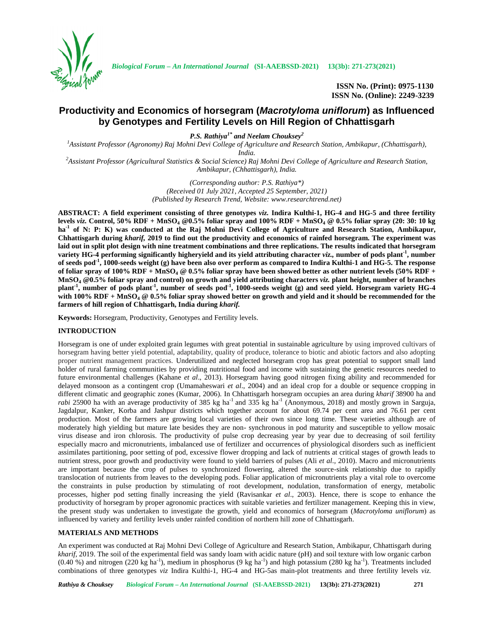

**ISSN No. (Print): 0975-1130 ISSN No. (Online): 2249-3239**

# **Productivity and Economics of horsegram (***Macrotyloma uniflorum***) as Influenced by Genotypes and Fertility Levels on Hill Region of Chhattisgarh**

*P.S. Rathiya1\* and Neelam Chouksey<sup>2</sup>*

*<sup>1</sup>Assistant Professor (Agronomy) Raj Mohni Devi College of Agriculture and Research Station, Ambikapur, (Chhattisgarh), India. <sup>2</sup>Assistant Professor (Agricultural Statistics & Social Science) Raj Mohni Devi College of Agriculture and Research Station,*

*Ambikapur, (Chhattisgarh), India.*

*(Corresponding author: P.S. Rathiya\*) (Received 01 July 2021, Accepted 25 September, 2021) (Published by Research Trend, Website: <www.researchtrend.net>)*

**ABSTRACT: A field experiment consisting of three genotypes** *viz.* **Indira Kulthi-1, HG-4 and HG-5 and three fertility levels** *viz.* **Control, 50% RDF + MnSO<sup>4</sup> @0.5% foliar spray and 100% RDF + MnSO<sup>4</sup> @ 0.5% foliar spray (20: 30: 10 kg ha-1 of N: P: K) was conducted at the Raj Mohni Devi College of Agriculture and Research Station, Ambikapur, Chhattisgarh during** *kharif,* **2019 to find out the productivity and economics of rainfed horsegram. The experiment was laid out in split plot design with nine treatment combinations and three replications. The results indicated that horsegram variety HG-4 performing significantly higheryield and itsyield attributing character** *viz.,* **number of pods plant-1 , number of seeds pod-1 , 1000-seeds weight (g) have been also over perform as compared to Indira Kulthi-1 and HG-5. The response of foliar spray of 100% RDF + MnSO<sup>4</sup> @ 0.5% foliar spray have been showed better as other nutrient levels (50% RDF + MnSO<sup>4</sup> @0.5% foliar spray and control) on growth and yield attributing characters** *viz.* **plant height, number of branches plant-1 , number of pods plant-1 , number of seeds pod-1 , 1000-seeds weight (g) and seed yield. Horsegram variety HG-4 with 100% RDF + MnSO<sup>4</sup> @ 0.5% foliar spray showed better on growth and yield and it should be recommended for the farmers of hill region of Chhattisgarh, India during** *kharif.*

**Keywords:** Horsegram, Productivity, Genotypes and Fertility levels.

# **INTRODUCTION**

Horsegram is one of under exploited grain legumes with great potential in sustainable agriculture by using improved cultivars of horsegram having better yield potential, adaptability, quality of produce, tolerance to biotic and abiotic factors and also adopting proper nutrient management practices. Underutilized and neglected horsegram crop has great potential to support small land holder of rural farming communities by providing nutritional food and income with sustaining the genetic resources needed to future environmental challenges (Kahane *et al*., 2013). Horsegram having good nitrogen fixing ability and recommended for delayed monsoon as a contingent crop (Umamaheswari *et al*., 2004) and an ideal crop for a double or sequence cropping in different climatic and geographic zones (Kumar, 2006). In Chhattisgarh horsegram occupies an area during *kharif* 38900 ha and *rabi* 25900 ha with an average productivity of 385 kg ha<sup>-1</sup> and 335 kg ha<sup>-1</sup> (Anonymous, 2018) and mostly grown in Sarguja, Jagdalpur, Kanker, Korba and Jashpur districts which together account for about 69.74 per cent area and 76.61 per cent production. Most of the farmers are growing local varieties of their own since long time. These varieties although are of moderately high yielding but mature late besides they are non- synchronous in pod maturity and susceptible to yellow mosaic virus disease and iron chlorosis. The productivity of pulse crop decreasing year by year due to decreasing of soil fertility especially macro and micronutrients, imbalanced use of fertilizer and occurrences of physiological disorders such as inefficient assimilates partitioning, poor setting of pod, excessive flower dropping and lack of nutrients at critical stages of growth leads to nutrient stress, poor growth and productivity were found to yield barriers of pulses (Ali *et al*., 2010). Macro and micronutrients are important because the crop of pulses to synchronized flowering, altered the source-sink relationship due to rapidly translocation of nutrients from leaves to the developing pods. Foliar application of micronutrients play a vital role to overcome the constraints in pulse production by stimulating of root development, nodulation, transformation of energy, metabolic processes, higher pod setting finally increasing the yield (Ravisankar *et al*., 2003). Hence, there is scope to enhance the productivity of horsegram by proper agronomic practices with suitable varieties and fertilizer management. Keeping this in view, the present study was undertaken to investigate the growth, yield and economics of horsegram (*Macrotyloma uniflorum*) as influenced by variety and fertility levels under rainfed condition of northern hill zone of Chhattisgarh.

# **MATERIALS AND METHODS**

An experiment was conducted at Raj Mohni Devi College of Agriculture and Research Station, Ambikapur, Chhattisgarh during *kharif,* 2019. The soil of the experimental field was sandy loam with acidic nature (pH) and soil texture with low organic carbon  $(0.40\%)$  and nitrogen (220 kg ha<sup>-1</sup>), medium in phosphorus (9 kg ha<sup>-1</sup>) and high potassium (280 kg ha<sup>-1</sup>). Treatments included combinations of three genotypes *viz* Indira Kulthi-1, HG-4 and HG-5as main-plot treatments and three fertility levels *viz.*

*Rathiya & Chouksey Biological Forum – An International Journal* **(SI-AAEBSSD-2021) 13(3b): 271-273(2021) 271**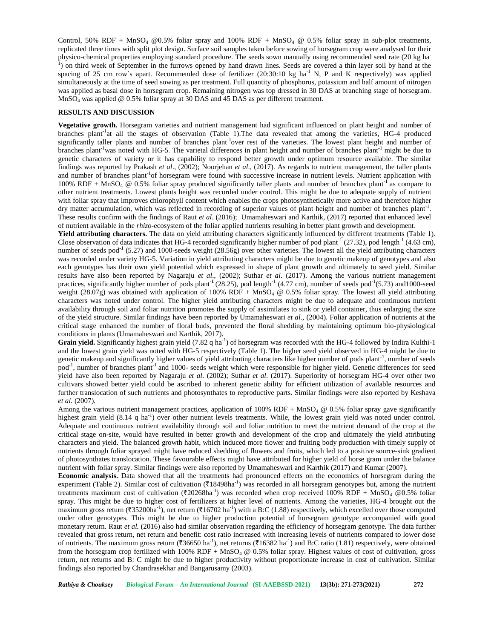Control, 50% RDF + MnSO<sub>4</sub> @0.5% foliar spray and 100% RDF + MnSO<sub>4</sub> @ 0.5% foliar spray in sub-plot treatments, replicated three times with split plot design. Surface soil samples taken before sowing of horsegram crop were analysed for their physico-chemical properties employing standard procedure. The seeds sown manually using recommended seed rate (20 kg ha<br><sup>1</sup>) on third week of September in the furrows opened by hand drawn lines. Seeds are covered a thin la spacing of 25 cm row's apart. Recommended dose of fertilizer  $(20:30:10 \text{ kg ha}^{-1} \text{ N}, P$  and K respectively) was applied simultaneously at the time of seed sowing as per treatment. Full quantity of phosphorus, potassium and half amount of nitrogen was applied as basal dose in horsegram crop. Remaining nitrogen was top dressed in 30 DAS at branching stage of horsegram. MnSO<sup>4</sup> was applied @ 0.5% foliar spray at 30 DAS and 45 DAS as per different treatment.

### **RESULTS AND DISCUSSION**

**Vegetative growth.** Horsegram varieties and nutrient management had significant influenced on plant height and number of branches plant<sup>-1</sup>at all the stages of observation (Table 1). The data revealed that among the varieties, HG-4 produced significantly taller plants and number of branches plant<sup>-1</sup>over rest of the varieties. The lowest plant height and number of branches plant<sup>-1</sup>was noted with HG-5. The varietal differences in plant height and number of branches plant<sup>-1</sup> might be due to genetic characters of variety or it has capability to respond better growth under optimum resource available. The similar findings was reported by Prakash *et al*., (2002); Noorjehan *et al*., (2017). As regards to nutrient management, the taller plants and number of branches plant<sup>-1</sup>of horsegram were found with successive increase in nutrient levels. Nutrient application with  $100\%$  RDF + MnSO<sub>4</sub>  $\textcircled{e}$  0.5% foliar spray produced significantly taller plants and number of branches plant<sup>-1</sup> as compare to other nutrient treatments. Lowest plants height was recorded under control. This might be due to adequate supply of nutrient with foliar spray that improves chlorophyll content which enables the crops photosynthetically more active and therefore higher dry matter accumulation, which was reflected in recording of superior values of plant height and number of branches plant<sup>-1</sup>. These results confirm with the findings of Raut *et al*. (2016); Umamaheswari and Karthik, (2017) reported that enhanced level of nutrient available in the *rhizo*-ecosystem of the foliar applied nutrients resulting in better plant growth and development.

**Yield attributing characters.** The data on yield attributing characters significantly influenced by different treatments (Table 1). Close observation of data indicates that HG-4 recorded significantly higher number of pod plant<sup>-1</sup> (27.32), pod length<sup>-1</sup> (4.63 cm), number of seeds pod<sup>-1</sup> (5.27) and 1000-seeds weight (28.56g) over other varieties. The lowest all the yield attributing characters was recorded under variety HG-5. Variation in yield attributing characters might be due to genetic makeup of genotypes and also each genotypes has their own yield potential which expressed in shape of plant growth and ultimately to seed yield. Similar results have also been reported by Nagaraju *et al*., (2002); Suthar *et al*. (2017). Among the various nutrient management practices, significantly higher number of pods plant<sup>-1</sup> (28.25), pod length<sup>-1</sup> (4.77 cm), number of seeds pod<sup>-1</sup>(5.73) and1000-seed weight (28.07g) was obtained with application of 100% RDF + MnSO<sub>4</sub> @ 0.5% foliar spray. The lowest all yield attributing characters was noted under control. The higher yield attributing characters might be due to adequate and continuous nutrient availability through soil and foliar nutrition promotes the supply of assimilates to sink or yield container, thus enlarging the size of the yield structure. Similar findings have been reported by Umamaheswari *et al*., (2004). Foliar application of nutrients at the critical stage enhanced the number of floral buds, prevented the floral shedding by maintaining optimum bio-physiological conditions in plants (Umamaheswari and Karthik, 2017).

Grain yield. Significantly highest grain yield (7.82 q ha<sup>-1</sup>) of horsegram was recorded with the HG-4 followed by Indira Kulthi-1 and the lowest grain yield was noted with HG-5 respectively (Table 1). The higher seed yield observed in HG-4 might be due to genetic makeup and significantly higher values of yield attributing characters like higher number of pods plant<sup>-1</sup>, number of seeds pod<sup>-1</sup>, number of branches plant<sup>-1</sup> and 1000- seeds weight which were responsible for higher yield. Genetic differences for seed yield have also been reported by Nagaraju *et al*. (2002); Suthar *et al*. (2017). Superiority of horsegram HG-4 over other two cultivars showed better yield could be ascribed to inherent genetic ability for efficient utilization of available resources and further translocation of such nutrients and photosynthates to reproductive parts. Similar findings were also reported by Keshava *et al.* (2007).

Among the various nutrient management practices, application of  $100\%$  RDF + MnSO<sub>4</sub> @ 0.5% foliar spray gave significantly highest grain yield (8.14 q ha<sup>-1</sup>) over other nutrient levels treatments. While, the lowest grain yield was noted under control. Adequate and continuous nutrient availability through soil and foliar nutrition to meet the nutrient demand of the crop at the critical stage on-site, would have resulted in better growth and development of the crop and ultimately the yield attributing characters and yield. The balanced growth habit, which induced more flower and fruiting body production with timely supply of nutrients through foliar sprayed might have reduced shedding of flowers and fruits, which led to a positive source-sink gradient of photosynthates translocation. These favourable effects might have attributed for higher yield of horse gram under the balance nutrient with foliar spray. Similar findings were also reported by Umamaheswari and Karthik (2017) and Kumar (2007).

**Economic analysis.** Data showed that all the treatments had pronounced effects on the economics of horsegram during the experiment (Table 2). Similar cost of cultivation (₹18498ha<sup>-1</sup>) was recorded in all horsegram genotypes but, among the nutrient treatments maximum cost of cultivation ( $\text{\textdegree{720268ha}}^{-1}$ ) was recorded when crop received 100% RDF + MnSO<sub>4</sub> @0.5% foliar spray. This might be due to higher cost of fertilizers at higher level of nutrients. Among the varieties, HG-4 brought out the maximum gross return (₹35200ha<sup>-1</sup>), net return (₹16702 ha<sup>-1</sup>) with a B:C (1.88) respectively, which excelled over those computed under other genotypes. This might be due to higher production potential of horsegram genotype accompanied with good monetary return. Raut *et al.* (2016) also had similar observation regarding the efficiency of horsegram genotype. The data further revealed that gross return, net return and benefit: cost ratio increased with increasing levels of nutrients compared to lower dose of nutrients. The maximum gross return (₹36650 ha<sup>-1</sup>), net returns (₹16382 ha<sup>-1</sup>) and B:C ratio (1.81) respectively, were obtained from the horsegram crop fertilized with  $100\%$  RDF + MnSO<sub>4</sub> @ 0.5% foliar spray. Highest values of cost of cultivation, gross return, net returns and B: C might be due to higher productivity without proportionate increase in cost of cultivation. Similar findings also reported by Chandrasekhar and Bangarusamy (2003).